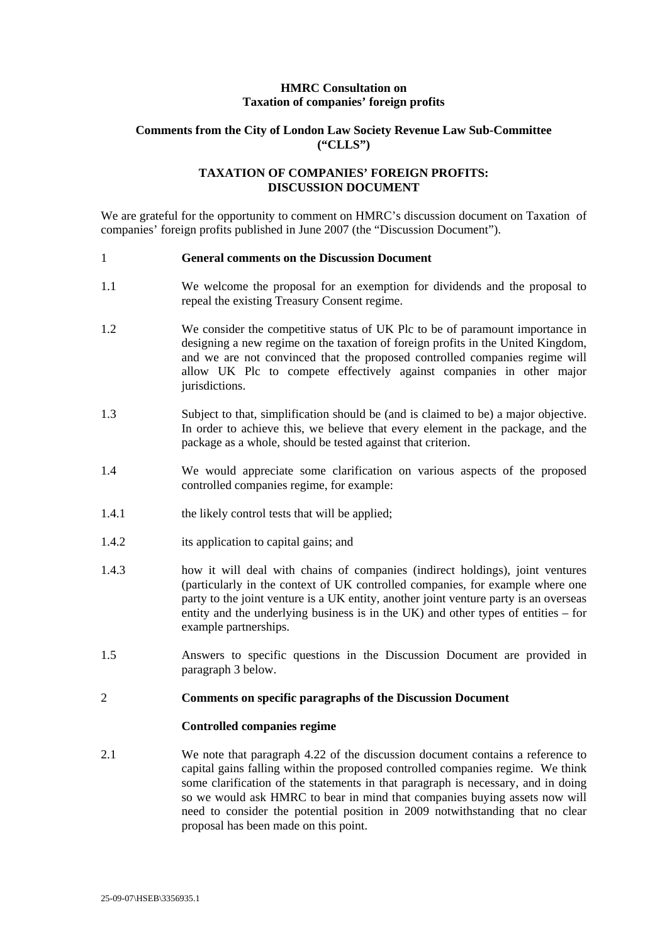## **HMRC Consultation on Taxation of companies' foreign profits**

## **Comments from the City of London Law Society Revenue Law Sub-Committee ("CLLS")**

# **TAXATION OF COMPANIES' FOREIGN PROFITS: DISCUSSION DOCUMENT**

We are grateful for the opportunity to comment on HMRC's discussion document on Taxation of companies' foreign profits published in June 2007 (the "Discussion Document").

#### 1 **General comments on the Discussion Document**

- 1.1 We welcome the proposal for an exemption for dividends and the proposal to repeal the existing Treasury Consent regime.
- 1.2 We consider the competitive status of UK Plc to be of paramount importance in designing a new regime on the taxation of foreign profits in the United Kingdom, and we are not convinced that the proposed controlled companies regime will allow UK Plc to compete effectively against companies in other major jurisdictions.
- 1.3 Subject to that, simplification should be (and is claimed to be) a major objective. In order to achieve this, we believe that every element in the package, and the package as a whole, should be tested against that criterion.
- 1.4 We would appreciate some clarification on various aspects of the proposed controlled companies regime, for example:
- 1.4.1 the likely control tests that will be applied;
- 1.4.2 its application to capital gains; and
- 1.4.3 how it will deal with chains of companies (indirect holdings), joint ventures (particularly in the context of UK controlled companies, for example where one party to the joint venture is a UK entity, another joint venture party is an overseas entity and the underlying business is in the UK) and other types of entities – for example partnerships.
- 1.5 Answers to specific questions in the Discussion Document are provided in paragraph 3 below.

### 2 **Comments on specific paragraphs of the Discussion Document**

#### **Controlled companies regime**

2.1 We note that paragraph 4.22 of the discussion document contains a reference to capital gains falling within the proposed controlled companies regime. We think some clarification of the statements in that paragraph is necessary, and in doing so we would ask HMRC to bear in mind that companies buying assets now will need to consider the potential position in 2009 notwithstanding that no clear proposal has been made on this point.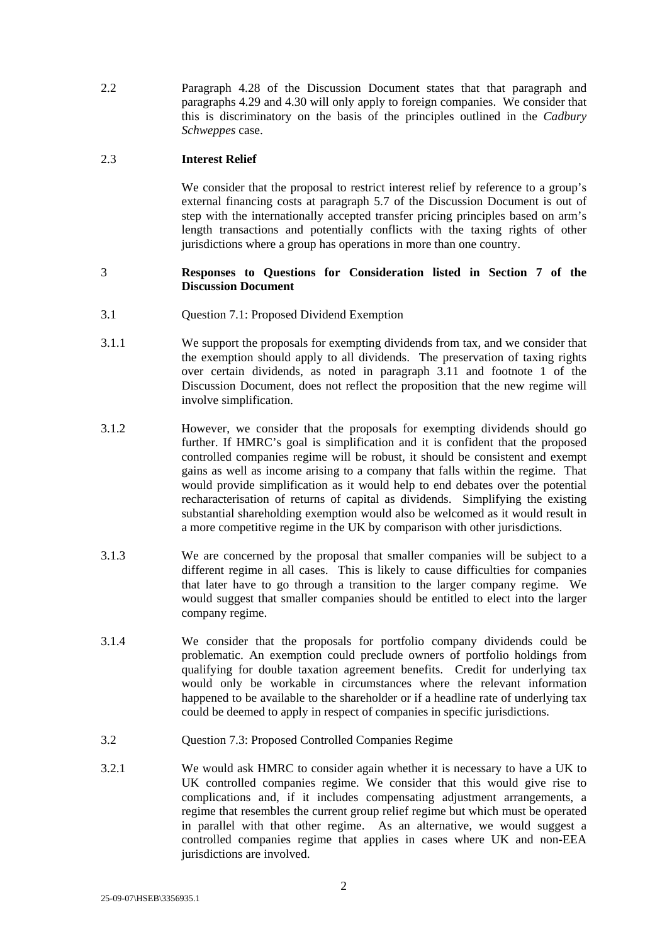2.2 Paragraph 4.28 of the Discussion Document states that that paragraph and paragraphs 4.29 and 4.30 will only apply to foreign companies. We consider that this is discriminatory on the basis of the principles outlined in the *Cadbury Schweppes* case.

## 2.3 **Interest Relief**

We consider that the proposal to restrict interest relief by reference to a group's external financing costs at paragraph 5.7 of the Discussion Document is out of step with the internationally accepted transfer pricing principles based on arm's length transactions and potentially conflicts with the taxing rights of other jurisdictions where a group has operations in more than one country.

## 3 **Responses to Questions for Consideration listed in Section 7 of the Discussion Document**

- 3.1 Question 7.1: Proposed Dividend Exemption
- 3.1.1 We support the proposals for exempting dividends from tax, and we consider that the exemption should apply to all dividends. The preservation of taxing rights over certain dividends, as noted in paragraph 3.11 and footnote 1 of the Discussion Document, does not reflect the proposition that the new regime will involve simplification.
- 3.1.2 However, we consider that the proposals for exempting dividends should go further. If HMRC's goal is simplification and it is confident that the proposed controlled companies regime will be robust, it should be consistent and exempt gains as well as income arising to a company that falls within the regime. That would provide simplification as it would help to end debates over the potential recharacterisation of returns of capital as dividends. Simplifying the existing substantial shareholding exemption would also be welcomed as it would result in a more competitive regime in the UK by comparison with other jurisdictions.
- 3.1.3 We are concerned by the proposal that smaller companies will be subject to a different regime in all cases. This is likely to cause difficulties for companies that later have to go through a transition to the larger company regime. We would suggest that smaller companies should be entitled to elect into the larger company regime.
- 3.1.4 We consider that the proposals for portfolio company dividends could be problematic. An exemption could preclude owners of portfolio holdings from qualifying for double taxation agreement benefits. Credit for underlying tax would only be workable in circumstances where the relevant information happened to be available to the shareholder or if a headline rate of underlying tax could be deemed to apply in respect of companies in specific jurisdictions.
- 3.2 Question 7.3: Proposed Controlled Companies Regime
- 3.2.1 We would ask HMRC to consider again whether it is necessary to have a UK to UK controlled companies regime. We consider that this would give rise to complications and, if it includes compensating adjustment arrangements, a regime that resembles the current group relief regime but which must be operated in parallel with that other regime. As an alternative, we would suggest a controlled companies regime that applies in cases where UK and non-EEA jurisdictions are involved.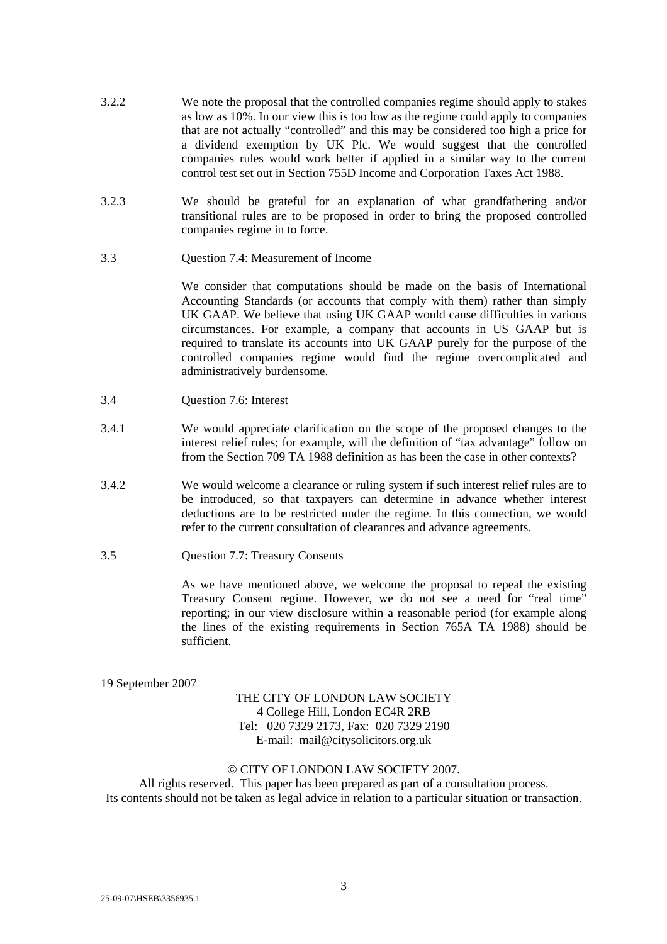- 3.2.2 We note the proposal that the controlled companies regime should apply to stakes as low as 10%. In our view this is too low as the regime could apply to companies that are not actually "controlled" and this may be considered too high a price for a dividend exemption by UK Plc. We would suggest that the controlled companies rules would work better if applied in a similar way to the current control test set out in Section 755D Income and Corporation Taxes Act 1988.
- 3.2.3 We should be grateful for an explanation of what grandfathering and/or transitional rules are to be proposed in order to bring the proposed controlled companies regime in to force.
- 3.3 Question 7.4: Measurement of Income

We consider that computations should be made on the basis of International Accounting Standards (or accounts that comply with them) rather than simply UK GAAP. We believe that using UK GAAP would cause difficulties in various circumstances. For example, a company that accounts in US GAAP but is required to translate its accounts into UK GAAP purely for the purpose of the controlled companies regime would find the regime overcomplicated and administratively burdensome.

- 3.4 Question 7.6: Interest
- 3.4.1 We would appreciate clarification on the scope of the proposed changes to the interest relief rules; for example, will the definition of "tax advantage" follow on from the Section 709 TA 1988 definition as has been the case in other contexts?
- 3.4.2 We would welcome a clearance or ruling system if such interest relief rules are to be introduced, so that taxpayers can determine in advance whether interest deductions are to be restricted under the regime. In this connection, we would refer to the current consultation of clearances and advance agreements.
- 3.5 Question 7.7: Treasury Consents

As we have mentioned above, we welcome the proposal to repeal the existing Treasury Consent regime. However, we do not see a need for "real time" reporting; in our view disclosure within a reasonable period (for example along the lines of the existing requirements in Section 765A TA 1988) should be sufficient.

19 September 2007

# THE CITY OF LONDON LAW SOCIETY 4 College Hill, London EC4R 2RB Tel: 020 7329 2173, Fax: 020 7329 2190 E-mail: mail@citysolicitors.org.uk

### © CITY OF LONDON LAW SOCIETY 2007.

All rights reserved. This paper has been prepared as part of a consultation process. Its contents should not be taken as legal advice in relation to a particular situation or transaction.